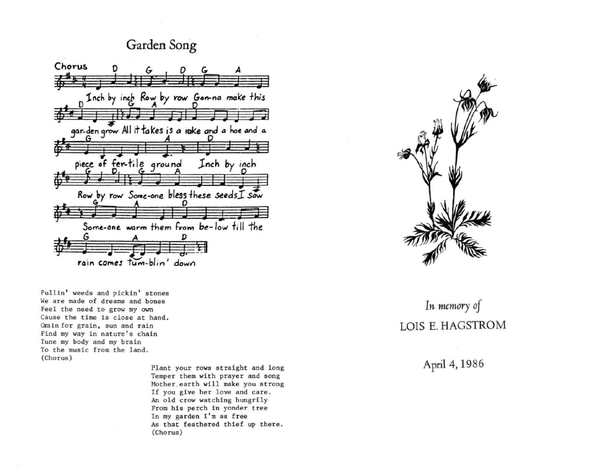## Garden Song



Pullin' weeds and pickin' stones We are made of dreams and bones Feel the need to grow my own Cause the time is close at hand. Grain for grain, sun and rain Find my way in nature's chain Tune my body and my brain To the music from the land. ( Cho rus)

> Plant your rows straight and long Temper them with prayer and song Mother, earth will make you strong If you give her love and care. An old crow watching hungrily From his perch in yonder tree In my garden I'm as free As that feathered thief up there. (Chorus)



*In memory of*  LOIS E. HAGSTROM

April 4.1986